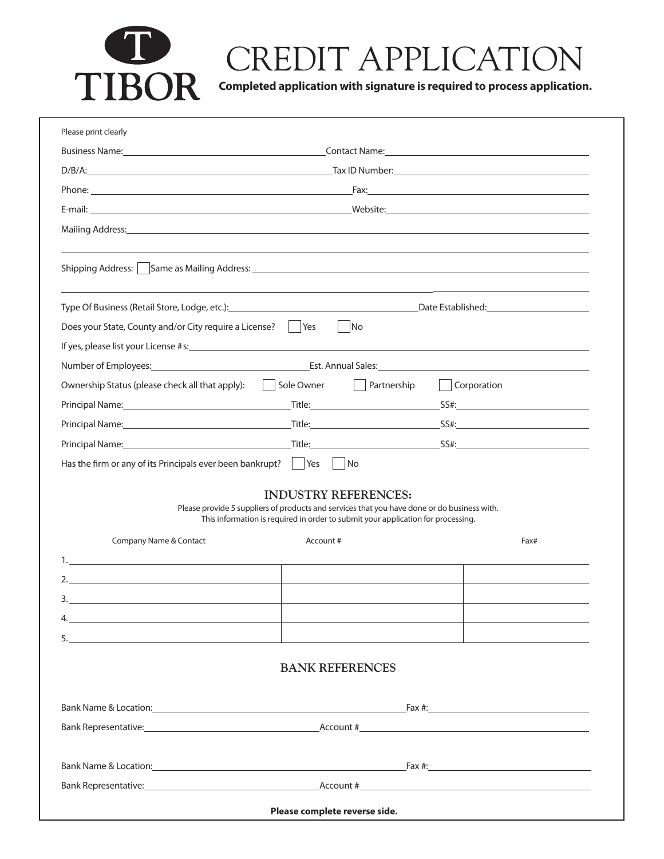

## CREDIT APPLICATION

**Completed application with signature is required to process application.**

| Please print clearly                                                                                                                                                                                                           |                                                                                                                                                                                                                             |                     |      |
|--------------------------------------------------------------------------------------------------------------------------------------------------------------------------------------------------------------------------------|-----------------------------------------------------------------------------------------------------------------------------------------------------------------------------------------------------------------------------|---------------------|------|
|                                                                                                                                                                                                                                |                                                                                                                                                                                                                             |                     |      |
|                                                                                                                                                                                                                                |                                                                                                                                                                                                                             |                     |      |
|                                                                                                                                                                                                                                |                                                                                                                                                                                                                             |                     |      |
|                                                                                                                                                                                                                                |                                                                                                                                                                                                                             |                     |      |
|                                                                                                                                                                                                                                |                                                                                                                                                                                                                             |                     |      |
|                                                                                                                                                                                                                                |                                                                                                                                                                                                                             |                     |      |
| Type Of Business (Retail Store, Lodge, etc.): Channel Communication and Channel Communication and Channel Communication and Channel Channel Channel Channel Channel Channel Channel Channel Channel Channel Channel Channel Ch |                                                                                                                                                                                                                             |                     |      |
| Does your State, County and/or City require a License?     Yes       No                                                                                                                                                        |                                                                                                                                                                                                                             |                     |      |
|                                                                                                                                                                                                                                |                                                                                                                                                                                                                             |                     |      |
| Number of Employees: etc. Annual Sales: etc. Annual Sales: etc. Annual Sales: etc. Annual Sales: etc. Annual Sales:                                                                                                            |                                                                                                                                                                                                                             |                     |      |
| Ownership Status (please check all that apply):   Sole Owner   Partnership                                                                                                                                                     |                                                                                                                                                                                                                             | $\vert$ Corporation |      |
|                                                                                                                                                                                                                                |                                                                                                                                                                                                                             |                     |      |
|                                                                                                                                                                                                                                |                                                                                                                                                                                                                             |                     |      |
|                                                                                                                                                                                                                                |                                                                                                                                                                                                                             |                     |      |
| Has the firm or any of its Principals ever been bankrupt? $\parallel$ Yes $\parallel$ No                                                                                                                                       |                                                                                                                                                                                                                             |                     |      |
| Company Name & Contact                                                                                                                                                                                                         | <b>INDUSTRY REFERENCES:</b><br>Please provide 5 suppliers of products and services that you have done or do business with.<br>This information is required in order to submit your application for processing.<br>Account # |                     | Fax# |
|                                                                                                                                                                                                                                |                                                                                                                                                                                                                             |                     |      |
|                                                                                                                                                                                                                                |                                                                                                                                                                                                                             |                     |      |
| 3.                                                                                                                                                                                                                             |                                                                                                                                                                                                                             |                     |      |
| 4.                                                                                                                                                                                                                             |                                                                                                                                                                                                                             |                     |      |
|                                                                                                                                                                                                                                |                                                                                                                                                                                                                             |                     |      |
|                                                                                                                                                                                                                                | <b>BANK REFERENCES</b>                                                                                                                                                                                                      |                     |      |
|                                                                                                                                                                                                                                |                                                                                                                                                                                                                             |                     |      |
|                                                                                                                                                                                                                                |                                                                                                                                                                                                                             |                     |      |
|                                                                                                                                                                                                                                |                                                                                                                                                                                                                             |                     |      |
|                                                                                                                                                                                                                                |                                                                                                                                                                                                                             |                     |      |
|                                                                                                                                                                                                                                |                                                                                                                                                                                                                             |                     |      |
|                                                                                                                                                                                                                                |                                                                                                                                                                                                                             |                     |      |